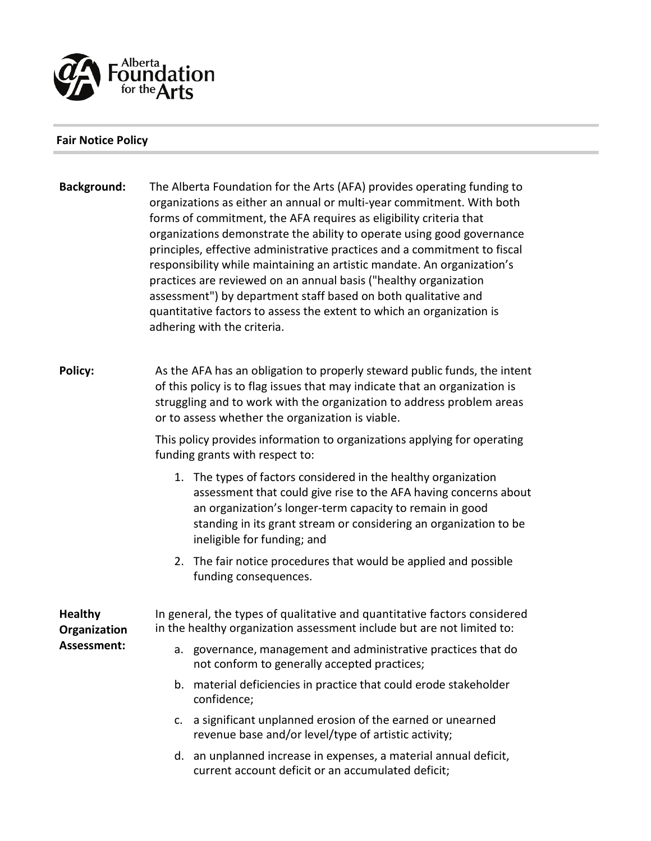

## **Fair Notice Policy**

**Background:** The Alberta Foundation for the Arts (AFA) provides operating funding to organizations as either an annual or multi-year commitment. With both forms of commitment, the AFA requires as eligibility criteria that organizations demonstrate the ability to operate using good governance principles, effective administrative practices and a commitment to fiscal responsibility while maintaining an artistic mandate. An organization's practices are reviewed on an annual basis ("healthy organization assessment") by department staff based on both qualitative and quantitative factors to assess the extent to which an organization is adhering with the criteria.

**Policy:** As the AFA has an obligation to properly steward public funds, the intent of this policy is to flag issues that may indicate that an organization is struggling and to work with the organization to address problem areas or to assess whether the organization is viable.

> This policy provides information to organizations applying for operating funding grants with respect to:

- 1. The types of factors considered in the healthy organization assessment that could give rise to the AFA having concerns about an organization's longer-term capacity to remain in good standing in its grant stream or considering an organization to be ineligible for funding; and
- 2. The fair notice procedures that would be applied and possible funding consequences.

**Healthy Organization Assessment:** 

In general, the types of qualitative and quantitative factors considered in the healthy organization assessment include but are not limited to:

- a. governance, management and administrative practices that do not conform to generally accepted practices;
- b. material deficiencies in practice that could erode stakeholder confidence;
- c. a significant unplanned erosion of the earned or unearned revenue base and/or level/type of artistic activity;
- d. an unplanned increase in expenses, a material annual deficit, current account deficit or an accumulated deficit;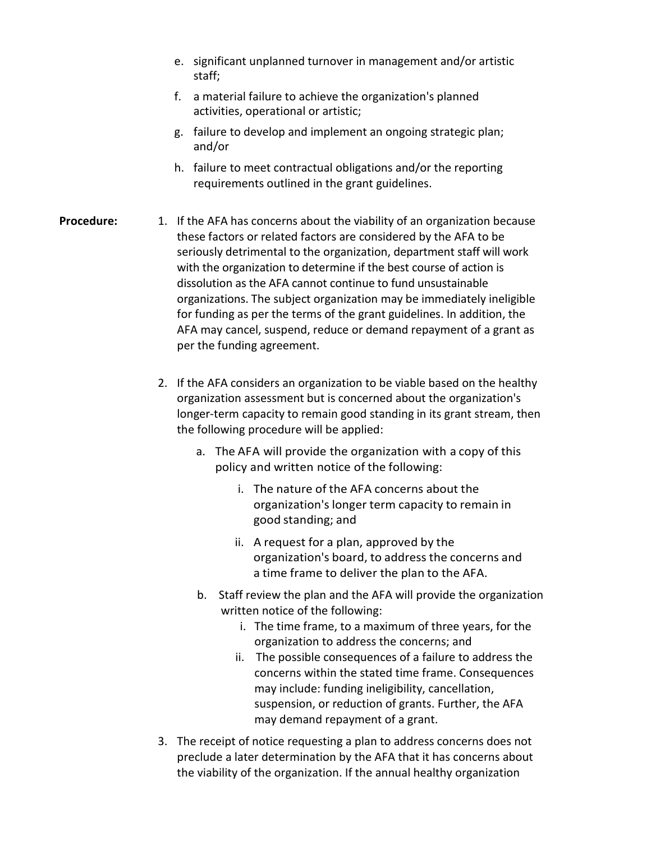- e. significant unplanned turnover in management and/or artistic staff;
- f. a material failure to achieve the organization's planned activities, operational or artistic;
- g. failure to develop and implement an ongoing strategic plan; and/or
- h. failure to meet contractual obligations and/or the reporting requirements outlined in the grant guidelines.
- **Procedure:** 1. If the AFA has concerns about the viability of an organization because these factors or related factors are considered by the AFA to be seriously detrimental to the organization, department staff will work with the organization to determine if the best course of action is dissolution as the AFA cannot continue to fund unsustainable organizations. The subject organization may be immediately ineligible for funding as per the terms of the grant guidelines. In addition, the AFA may cancel, suspend, reduce or demand repayment of a grant as per the funding agreement.
	- 2. If the AFA considers an organization to be viable based on the healthy organization assessment but is concerned about the organization's longer-term capacity to remain good standing in its grant stream, then the following procedure will be applied:
		- a. The AFA will provide the organization with a copy of this policy and written notice of the following:
			- i. The nature of the AFA concerns about the organization's longer term capacity to remain in good standing; and
			- ii. A request for a plan, approved by the organization's board, to address the concerns and a time frame to deliver the plan to the AFA.
		- b. Staff review the plan and the AFA will provide the organization written notice of the following:
			- i. The time frame, to a maximum of three years, for the organization to address the concerns; and
			- ii. The possible consequences of a failure to address the concerns within the stated time frame. Consequences may include: funding ineligibility, cancellation, suspension, or reduction of grants. Further, the AFA may demand repayment of a grant.
	- 3. The receipt of notice requesting a plan to address concerns does not preclude a later determination by the AFA that it has concerns about the viability of the organization. If the annual healthy organization